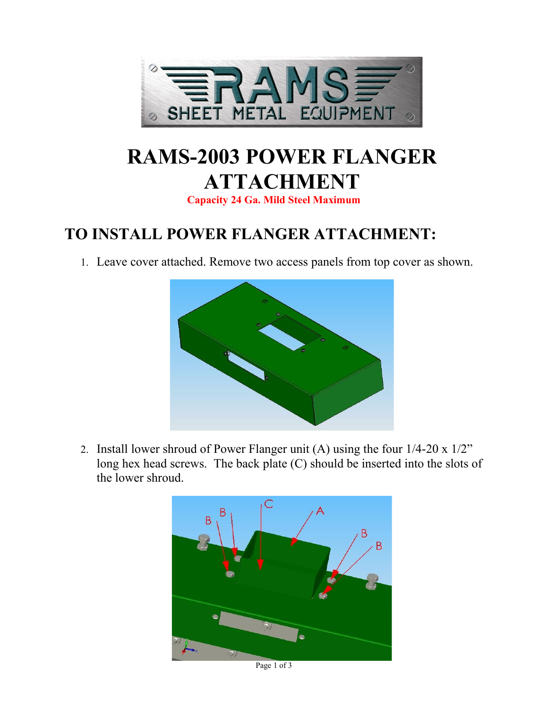

# **RAMS-2003 POWER FLANGER ATTACHMENT**

**Capacity 24 Ga. Mild Steel Maximum**

## **TO INSTALL POWER FLANGER ATTACHMENT:**

1. Leave cover attached. Remove two access panels from top cover as shown.



2. Install lower shroud of Power Flanger unit (A) using the four 1/4-20 x 1/2" long hex head screws. The back plate (C) should be inserted into the slots of the lower shroud.



Page 1 of 3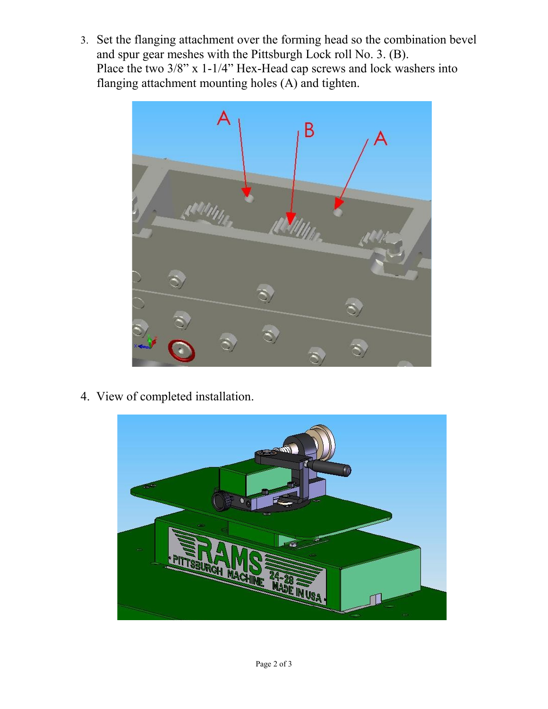3. Set the flanging attachment over the forming head so the combination bevel and spur gear meshes with the Pittsburgh Lock roll No. 3. (B). Place the two 3/8" x 1-1/4" Hex-Head cap screws and lock washers into flanging attachment mounting holes (A) and tighten.



4. View of completed installation.